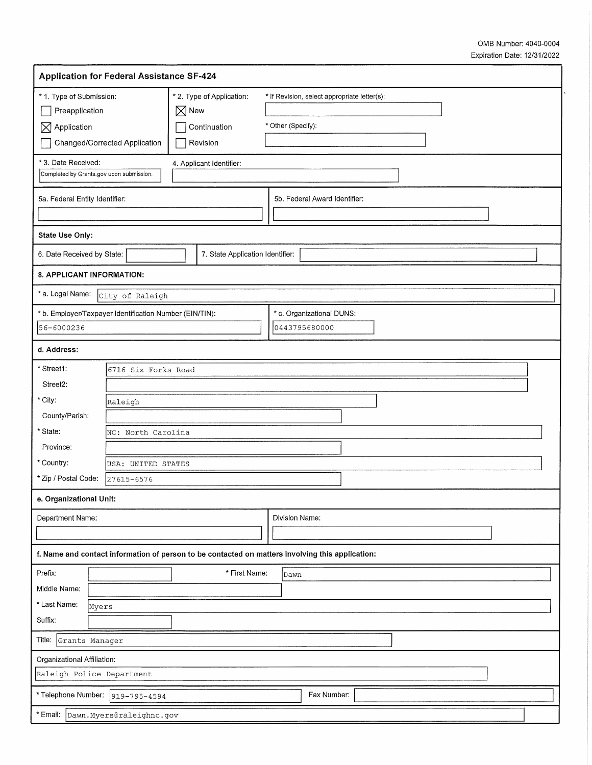| <b>Application for Federal Assistance SF-424</b>                                                 |                                  |                 |                                                       |                                                                    |                               |  |  |  |  |
|--------------------------------------------------------------------------------------------------|----------------------------------|-----------------|-------------------------------------------------------|--------------------------------------------------------------------|-------------------------------|--|--|--|--|
| * 1. Type of Submission:<br>Preapplication<br>$\boxtimes$ Application                            | Changed/Corrected Application    | $\boxtimes$ New | * 2. Type of Application:<br>Continuation<br>Revision | * If Revision, select appropriate letter(s):<br>* Other (Specify): |                               |  |  |  |  |
| * 3. Date Received:<br>Completed by Grants.gov upon submission.                                  |                                  |                 | 4. Applicant Identifier:                              |                                                                    |                               |  |  |  |  |
| 5a. Federal Entity Identifier:                                                                   |                                  |                 |                                                       |                                                                    | 5b. Federal Award Identifier: |  |  |  |  |
| <b>State Use Only:</b>                                                                           |                                  |                 |                                                       |                                                                    |                               |  |  |  |  |
| 6. Date Received by State:                                                                       |                                  |                 | 7. State Application Identifier:                      |                                                                    |                               |  |  |  |  |
| 8. APPLICANT INFORMATION:                                                                        |                                  |                 |                                                       |                                                                    |                               |  |  |  |  |
| * a. Legal Name:                                                                                 | City of Raleigh                  |                 |                                                       |                                                                    |                               |  |  |  |  |
| * b. Employer/Taxpayer Identification Number (EIN/TIN):<br>56-6000236                            |                                  |                 |                                                       | * c. Organizational DUNS:<br>0443795680000                         |                               |  |  |  |  |
| d. Address:                                                                                      |                                  |                 |                                                       |                                                                    |                               |  |  |  |  |
| * Street1:<br>Street2:<br>* City:                                                                | 6716 Six Forks Road<br>Raleigh   |                 |                                                       |                                                                    |                               |  |  |  |  |
| County/Parish:<br>* State:                                                                       | NC: North Carolina               |                 |                                                       |                                                                    |                               |  |  |  |  |
| Province:<br>* Country:<br>* Zip / Postal Code:                                                  | USA: UNITED STATES<br>27615-6576 |                 |                                                       |                                                                    |                               |  |  |  |  |
| e. Organizational Unit:                                                                          |                                  |                 |                                                       |                                                                    |                               |  |  |  |  |
| Department Name:                                                                                 |                                  |                 |                                                       | Division Name:                                                     |                               |  |  |  |  |
| f. Name and contact information of person to be contacted on matters involving this application: |                                  |                 |                                                       |                                                                    |                               |  |  |  |  |
| Prefix:<br>Middle Name:<br>* Last Name:<br>Myers<br>Suffix:                                      |                                  |                 | * First Name:                                         |                                                                    | Dawn                          |  |  |  |  |
| Title:<br>Grants Manager                                                                         |                                  |                 |                                                       |                                                                    |                               |  |  |  |  |
| Organizational Affiliation:<br>Raleigh Police Department                                         |                                  |                 |                                                       |                                                                    |                               |  |  |  |  |
| * Telephone Number:<br>Fax Number:<br>$919 - 795 - 4594$                                         |                                  |                 |                                                       |                                                                    |                               |  |  |  |  |
| * Email:                                                                                         | Dawn.Myers@raleighnc.gov         |                 |                                                       |                                                                    |                               |  |  |  |  |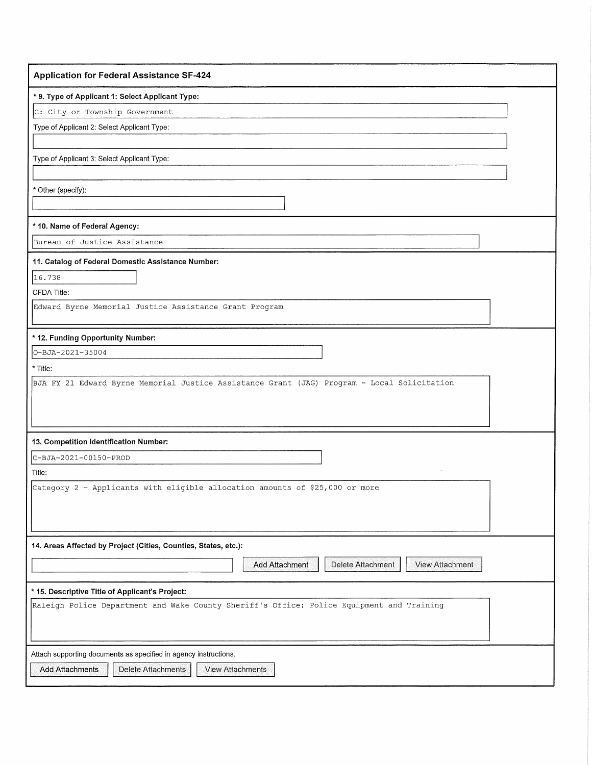| <b>Application for Federal Assistance SF-424</b>                                            |
|---------------------------------------------------------------------------------------------|
| * 9. Type of Applicant 1: Select Applicant Type:                                            |
| C: City or Township Government                                                              |
| Type of Applicant 2: Select Applicant Type:                                                 |
|                                                                                             |
| Type of Applicant 3: Select Applicant Type:                                                 |
|                                                                                             |
| * Other (specify):                                                                          |
|                                                                                             |
| * 10. Name of Federal Agency:                                                               |
| Bureau of Justice Assistance                                                                |
| 11. Catalog of Federal Domestic Assistance Number:                                          |
| 16.738                                                                                      |
| CFDA Title:                                                                                 |
| Edward Byrne Memorial Justice Assistance Grant Program                                      |
|                                                                                             |
| * 12. Funding Opportunity Number:<br>O-BJA-2021-35004                                       |
| * Title:                                                                                    |
| BJA FY 21 Edward Byrne Memorial Justice Assistance Grant (JAG) Program - Local Solicitation |
|                                                                                             |
|                                                                                             |
|                                                                                             |
| 13. Competition Identification Number:                                                      |
| C-BJA-2021-00150-PROD                                                                       |
| Title:                                                                                      |
| Category 2 - Applicants with eligible allocation amounts of \$25,000 or more                |
|                                                                                             |
|                                                                                             |
| 14. Areas Affected by Project (Cities, Counties, States, etc.):                             |
| Delete Attachment<br>Add Attachment<br>View Attachment                                      |
|                                                                                             |
| * 15. Descriptive Title of Applicant's Project:                                             |
| Raleigh Police Department and Wake County Sheriff's Office: Police Equipment and Training   |
|                                                                                             |
|                                                                                             |
| Attach supporting documents as specified in agency instructions.                            |
| <b>Add Attachments</b><br>Delete Attachments<br>View Attachments                            |
|                                                                                             |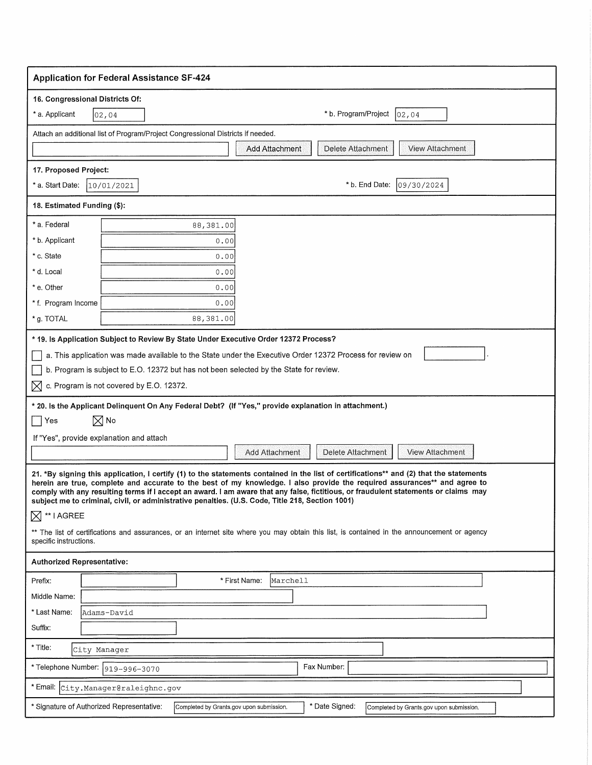| <b>Application for Federal Assistance SF-424</b>                                                                                                                                                                                                                                                                                                                                                                                                                                                                                                                                                                                                                                          |  |  |  |  |  |
|-------------------------------------------------------------------------------------------------------------------------------------------------------------------------------------------------------------------------------------------------------------------------------------------------------------------------------------------------------------------------------------------------------------------------------------------------------------------------------------------------------------------------------------------------------------------------------------------------------------------------------------------------------------------------------------------|--|--|--|--|--|
| 16. Congressional Districts Of:                                                                                                                                                                                                                                                                                                                                                                                                                                                                                                                                                                                                                                                           |  |  |  |  |  |
| * b. Program/Project<br>* a. Applicant<br> 02,04<br>02,04                                                                                                                                                                                                                                                                                                                                                                                                                                                                                                                                                                                                                                 |  |  |  |  |  |
| Attach an additional list of Program/Project Congressional Districts if needed.                                                                                                                                                                                                                                                                                                                                                                                                                                                                                                                                                                                                           |  |  |  |  |  |
| <b>View Attachment</b><br>Delete Attachment<br>Add Attachment                                                                                                                                                                                                                                                                                                                                                                                                                                                                                                                                                                                                                             |  |  |  |  |  |
| 17. Proposed Project:                                                                                                                                                                                                                                                                                                                                                                                                                                                                                                                                                                                                                                                                     |  |  |  |  |  |
| * b. End Date:<br>109/30/2024<br>* a. Start Date:<br>10/01/2021                                                                                                                                                                                                                                                                                                                                                                                                                                                                                                                                                                                                                           |  |  |  |  |  |
| 18. Estimated Funding (\$):                                                                                                                                                                                                                                                                                                                                                                                                                                                                                                                                                                                                                                                               |  |  |  |  |  |
| * a. Federal<br>88,381.00                                                                                                                                                                                                                                                                                                                                                                                                                                                                                                                                                                                                                                                                 |  |  |  |  |  |
| * b. Applicant<br>0.00                                                                                                                                                                                                                                                                                                                                                                                                                                                                                                                                                                                                                                                                    |  |  |  |  |  |
| * c. State<br>0.00                                                                                                                                                                                                                                                                                                                                                                                                                                                                                                                                                                                                                                                                        |  |  |  |  |  |
| * d. Local<br>0.00                                                                                                                                                                                                                                                                                                                                                                                                                                                                                                                                                                                                                                                                        |  |  |  |  |  |
| * e. Other<br>0.00                                                                                                                                                                                                                                                                                                                                                                                                                                                                                                                                                                                                                                                                        |  |  |  |  |  |
| * f. Program Income<br>0.00                                                                                                                                                                                                                                                                                                                                                                                                                                                                                                                                                                                                                                                               |  |  |  |  |  |
| * g. TOTAL<br>88,381.00                                                                                                                                                                                                                                                                                                                                                                                                                                                                                                                                                                                                                                                                   |  |  |  |  |  |
| * 19. Is Application Subject to Review By State Under Executive Order 12372 Process?                                                                                                                                                                                                                                                                                                                                                                                                                                                                                                                                                                                                      |  |  |  |  |  |
| a. This application was made available to the State under the Executive Order 12372 Process for review on                                                                                                                                                                                                                                                                                                                                                                                                                                                                                                                                                                                 |  |  |  |  |  |
| b. Program is subject to E.O. 12372 but has not been selected by the State for review.                                                                                                                                                                                                                                                                                                                                                                                                                                                                                                                                                                                                    |  |  |  |  |  |
| c. Program is not covered by E.O. 12372.<br>⋈                                                                                                                                                                                                                                                                                                                                                                                                                                                                                                                                                                                                                                             |  |  |  |  |  |
| * 20. Is the Applicant Delinquent On Any Federal Debt? (If "Yes," provide explanation in attachment.)                                                                                                                                                                                                                                                                                                                                                                                                                                                                                                                                                                                     |  |  |  |  |  |
| $\boxtimes$ No<br>Yes                                                                                                                                                                                                                                                                                                                                                                                                                                                                                                                                                                                                                                                                     |  |  |  |  |  |
| If "Yes", provide explanation and attach                                                                                                                                                                                                                                                                                                                                                                                                                                                                                                                                                                                                                                                  |  |  |  |  |  |
| View Attachment<br>Add Attachment<br>Delete Attachment                                                                                                                                                                                                                                                                                                                                                                                                                                                                                                                                                                                                                                    |  |  |  |  |  |
| 21. *By signing this application, I certify (1) to the statements contained in the list of certifications** and (2) that the statements<br>herein are true, complete and accurate to the best of my knowledge. I also provide the required assurances** and agree to<br>comply with any resulting terms if I accept an award. I am aware that any false, fictitious, or fraudulent statements or claims may<br>subject me to criminal, civil, or administrative penalties. (U.S. Code, Title 218, Section 1001)<br>$\boxtimes$ ** I AGREE<br>** The list of certifications and assurances, or an internet site where you may obtain this list, is contained in the announcement or agency |  |  |  |  |  |
| specific instructions.                                                                                                                                                                                                                                                                                                                                                                                                                                                                                                                                                                                                                                                                    |  |  |  |  |  |
| <b>Authorized Representative:</b>                                                                                                                                                                                                                                                                                                                                                                                                                                                                                                                                                                                                                                                         |  |  |  |  |  |
| Prefix:<br>* First Name:<br>Marchell                                                                                                                                                                                                                                                                                                                                                                                                                                                                                                                                                                                                                                                      |  |  |  |  |  |
| Middle Name:                                                                                                                                                                                                                                                                                                                                                                                                                                                                                                                                                                                                                                                                              |  |  |  |  |  |
| * Last Name:<br>Adams-David                                                                                                                                                                                                                                                                                                                                                                                                                                                                                                                                                                                                                                                               |  |  |  |  |  |
| Suffix:                                                                                                                                                                                                                                                                                                                                                                                                                                                                                                                                                                                                                                                                                   |  |  |  |  |  |
| * Title:<br>City Manager                                                                                                                                                                                                                                                                                                                                                                                                                                                                                                                                                                                                                                                                  |  |  |  |  |  |
| Fax Number:<br>*Telephone Number: 919-996-3070                                                                                                                                                                                                                                                                                                                                                                                                                                                                                                                                                                                                                                            |  |  |  |  |  |
| * Email:<br>City.Manager@raleighnc.gov                                                                                                                                                                                                                                                                                                                                                                                                                                                                                                                                                                                                                                                    |  |  |  |  |  |
| * Date Signed:<br>* Signature of Authorized Representative:<br>Completed by Grants.gov upon submission.<br>Completed by Grants.gov upon submission.                                                                                                                                                                                                                                                                                                                                                                                                                                                                                                                                       |  |  |  |  |  |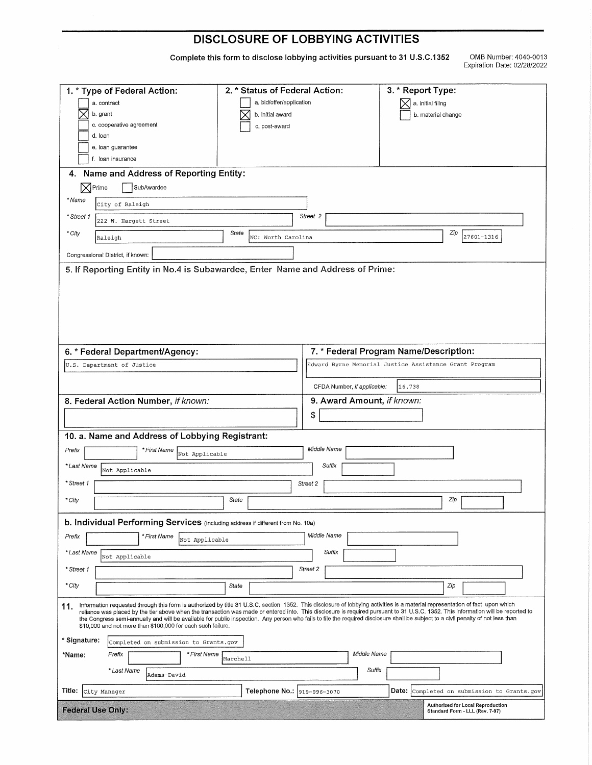## **DISCLOSURE OF LOBBYING ACTIVITIES**

Complete this form to disclose lobbying activities pursuant to 31 U.S.C.1352

OMB Number: 4040-0013 Expiration Date: 02/28/2022

| 1. * Type of Federal Action:                                                                                                                                                                                                                                                                                                                                                                                                                                                                                                                                                                                                  | 2. * Status of Federal Action: |                             | 3. * Report Type:                                                    |  |
|-------------------------------------------------------------------------------------------------------------------------------------------------------------------------------------------------------------------------------------------------------------------------------------------------------------------------------------------------------------------------------------------------------------------------------------------------------------------------------------------------------------------------------------------------------------------------------------------------------------------------------|--------------------------------|-----------------------------|----------------------------------------------------------------------|--|
| a. contract                                                                                                                                                                                                                                                                                                                                                                                                                                                                                                                                                                                                                   | a. bid/offer/application       |                             | a. initial filing                                                    |  |
| b. grant                                                                                                                                                                                                                                                                                                                                                                                                                                                                                                                                                                                                                      | b. initial award               |                             | b. material change                                                   |  |
| c. cooperative agreement<br>d. Ioan                                                                                                                                                                                                                                                                                                                                                                                                                                                                                                                                                                                           | c. post-award                  |                             |                                                                      |  |
| e. loan guarantee                                                                                                                                                                                                                                                                                                                                                                                                                                                                                                                                                                                                             |                                |                             |                                                                      |  |
| f. loan insurance                                                                                                                                                                                                                                                                                                                                                                                                                                                                                                                                                                                                             |                                |                             |                                                                      |  |
| Name and Address of Reporting Entity:<br>4.                                                                                                                                                                                                                                                                                                                                                                                                                                                                                                                                                                                   |                                |                             |                                                                      |  |
| $\boxtimes$ Prime<br>SubAwardee                                                                                                                                                                                                                                                                                                                                                                                                                                                                                                                                                                                               |                                |                             |                                                                      |  |
| * Name<br>City of Raleigh                                                                                                                                                                                                                                                                                                                                                                                                                                                                                                                                                                                                     |                                |                             |                                                                      |  |
| * Street 1<br>222 W. Hargett Street                                                                                                                                                                                                                                                                                                                                                                                                                                                                                                                                                                                           |                                | Street 2                    |                                                                      |  |
| * City<br>Raleigh                                                                                                                                                                                                                                                                                                                                                                                                                                                                                                                                                                                                             | State<br>NC: North Carolina    |                             | Zip<br>27601-1316                                                    |  |
| Congressional District, if known:                                                                                                                                                                                                                                                                                                                                                                                                                                                                                                                                                                                             |                                |                             |                                                                      |  |
| 5. If Reporting Entity in No.4 is Subawardee, Enter Name and Address of Prime:                                                                                                                                                                                                                                                                                                                                                                                                                                                                                                                                                |                                |                             |                                                                      |  |
|                                                                                                                                                                                                                                                                                                                                                                                                                                                                                                                                                                                                                               |                                |                             |                                                                      |  |
|                                                                                                                                                                                                                                                                                                                                                                                                                                                                                                                                                                                                                               |                                |                             |                                                                      |  |
|                                                                                                                                                                                                                                                                                                                                                                                                                                                                                                                                                                                                                               |                                |                             |                                                                      |  |
|                                                                                                                                                                                                                                                                                                                                                                                                                                                                                                                                                                                                                               |                                |                             |                                                                      |  |
| 6. * Federal Department/Agency:                                                                                                                                                                                                                                                                                                                                                                                                                                                                                                                                                                                               |                                |                             | 7. * Federal Program Name/Description:                               |  |
| U.S. Department of Justice                                                                                                                                                                                                                                                                                                                                                                                                                                                                                                                                                                                                    |                                |                             | Edward Byrne Memorial Justice Assistance Grant Program               |  |
|                                                                                                                                                                                                                                                                                                                                                                                                                                                                                                                                                                                                                               |                                | CFDA Number, if applicable: | 16.738                                                               |  |
| 8. Federal Action Number, if known:                                                                                                                                                                                                                                                                                                                                                                                                                                                                                                                                                                                           |                                | 9. Award Amount, if known:  |                                                                      |  |
|                                                                                                                                                                                                                                                                                                                                                                                                                                                                                                                                                                                                                               |                                |                             |                                                                      |  |
|                                                                                                                                                                                                                                                                                                                                                                                                                                                                                                                                                                                                                               |                                | \$                          |                                                                      |  |
| 10. a. Name and Address of Lobbying Registrant:                                                                                                                                                                                                                                                                                                                                                                                                                                                                                                                                                                               |                                |                             |                                                                      |  |
| * First Name<br>Prefix<br>Not Applicable                                                                                                                                                                                                                                                                                                                                                                                                                                                                                                                                                                                      |                                | Middle Name                 |                                                                      |  |
| * Last Name<br>Not Applicable                                                                                                                                                                                                                                                                                                                                                                                                                                                                                                                                                                                                 |                                | Suffix                      |                                                                      |  |
| * Street 1                                                                                                                                                                                                                                                                                                                                                                                                                                                                                                                                                                                                                    |                                | Street 2                    |                                                                      |  |
|                                                                                                                                                                                                                                                                                                                                                                                                                                                                                                                                                                                                                               | State                          |                             | Zip                                                                  |  |
| * City                                                                                                                                                                                                                                                                                                                                                                                                                                                                                                                                                                                                                        |                                |                             |                                                                      |  |
| b. Individual Performing Services (including address if different from No. 10a)                                                                                                                                                                                                                                                                                                                                                                                                                                                                                                                                               |                                |                             |                                                                      |  |
| Prefix<br>* First Name<br>Not Applicable                                                                                                                                                                                                                                                                                                                                                                                                                                                                                                                                                                                      |                                | Middle Name                 |                                                                      |  |
| * Last Name<br>Not Applicable                                                                                                                                                                                                                                                                                                                                                                                                                                                                                                                                                                                                 |                                | Suffix                      |                                                                      |  |
| * Street 1                                                                                                                                                                                                                                                                                                                                                                                                                                                                                                                                                                                                                    |                                | Street 2                    |                                                                      |  |
| * City                                                                                                                                                                                                                                                                                                                                                                                                                                                                                                                                                                                                                        | State                          |                             | Zip                                                                  |  |
| Information requested through this form is authorized by title 31 U.S.C. section 1352. This disclosure of lobbying activities is a material representation of fact upon which<br>11.<br>reliance was placed by the tier above when the transaction was made or entered into. This disclosure is required pursuant to 31 U.S.C. 1352. This information will be reported to<br>the Congress semi-annually and will be available for public inspection. Any person who fails to file the required disclosure shall be subject to a civil penalty of not less than<br>\$10,000 and not more than \$100,000 for each such failure. |                                |                             |                                                                      |  |
| * Signature:<br>Completed on submission to Grants.gov                                                                                                                                                                                                                                                                                                                                                                                                                                                                                                                                                                         |                                |                             |                                                                      |  |
| * First Name<br>*Name:<br>Prefix                                                                                                                                                                                                                                                                                                                                                                                                                                                                                                                                                                                              | Marchell                       | Middle Name                 |                                                                      |  |
| * Last Name<br>Adams-David                                                                                                                                                                                                                                                                                                                                                                                                                                                                                                                                                                                                    |                                | Suffix                      |                                                                      |  |
| Title:<br>City Manager                                                                                                                                                                                                                                                                                                                                                                                                                                                                                                                                                                                                        | Telephone No.: 919-996-3070    |                             | Date: Completed on submission to Grants.gov                          |  |
| <b>Federal Use Only:</b>                                                                                                                                                                                                                                                                                                                                                                                                                                                                                                                                                                                                      |                                |                             | Authorized for Local Reproduction<br>Standard Form - LLL (Rev. 7-97) |  |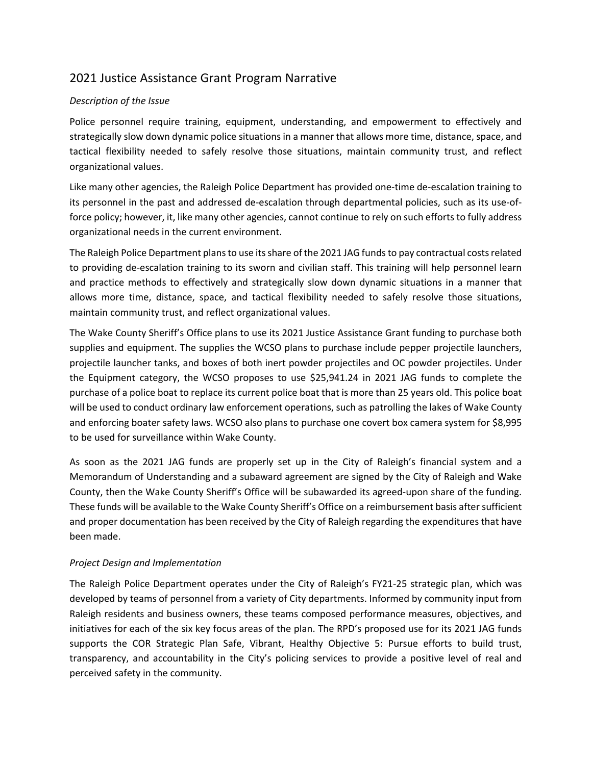# 2021 Justice Assistance Grant Program Narrative

## *Description of the Issue*

Police personnel require training, equipment, understanding, and empowerment to effectively and strategically slow down dynamic police situations in a manner that allows more time, distance, space, and tactical flexibility needed to safely resolve those situations, maintain community trust, and reflect organizational values.

Like many other agencies, the Raleigh Police Department has provided one‐time de‐escalation training to its personnel in the past and addressed de‐escalation through departmental policies, such as its use‐of‐ force policy; however, it, like many other agencies, cannot continue to rely on such efforts to fully address organizational needs in the current environment.

The Raleigh Police Department plans to use its share of the 2021 JAG funds to pay contractual costs related to providing de‐escalation training to its sworn and civilian staff. This training will help personnel learn and practice methods to effectively and strategically slow down dynamic situations in a manner that allows more time, distance, space, and tactical flexibility needed to safely resolve those situations, maintain community trust, and reflect organizational values.

The Wake County Sheriff's Office plans to use its 2021 Justice Assistance Grant funding to purchase both supplies and equipment. The supplies the WCSO plans to purchase include pepper projectile launchers, projectile launcher tanks, and boxes of both inert powder projectiles and OC powder projectiles. Under the Equipment category, the WCSO proposes to use \$25,941.24 in 2021 JAG funds to complete the purchase of a police boat to replace its current police boat that is more than 25 years old. This police boat will be used to conduct ordinary law enforcement operations, such as patrolling the lakes of Wake County and enforcing boater safety laws. WCSO also plans to purchase one covert box camera system for \$8,995 to be used for surveillance within Wake County.

As soon as the 2021 JAG funds are properly set up in the City of Raleigh's financial system and a Memorandum of Understanding and a subaward agreement are signed by the City of Raleigh and Wake County, then the Wake County Sheriff's Office will be subawarded its agreed‐upon share of the funding. These funds will be available to the Wake County Sheriff's Office on a reimbursement basis after sufficient and proper documentation has been received by the City of Raleigh regarding the expenditures that have been made.

### *Project Design and Implementation*

The Raleigh Police Department operates under the City of Raleigh's FY21‐25 strategic plan, which was developed by teams of personnel from a variety of City departments. Informed by community input from Raleigh residents and business owners, these teams composed performance measures, objectives, and initiatives for each of the six key focus areas of the plan. The RPD's proposed use for its 2021 JAG funds supports the COR Strategic Plan Safe, Vibrant, Healthy Objective 5: Pursue efforts to build trust, transparency, and accountability in the City's policing services to provide a positive level of real and perceived safety in the community.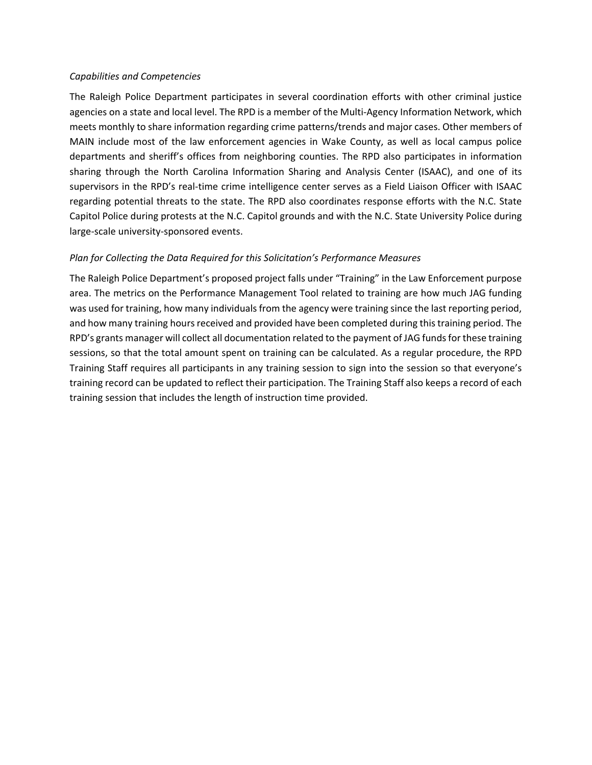#### *Capabilities and Competencies*

The Raleigh Police Department participates in several coordination efforts with other criminal justice agencies on a state and local level. The RPD is a member of the Multi‐Agency Information Network, which meets monthly to share information regarding crime patterns/trends and major cases. Other members of MAIN include most of the law enforcement agencies in Wake County, as well as local campus police departments and sheriff's offices from neighboring counties. The RPD also participates in information sharing through the North Carolina Information Sharing and Analysis Center (ISAAC), and one of its supervisors in the RPD's real-time crime intelligence center serves as a Field Liaison Officer with ISAAC regarding potential threats to the state. The RPD also coordinates response efforts with the N.C. State Capitol Police during protests at the N.C. Capitol grounds and with the N.C. State University Police during large‐scale university‐sponsored events.

### *Plan for Collecting the Data Required for this Solicitation's Performance Measures*

The Raleigh Police Department's proposed project falls under "Training" in the Law Enforcement purpose area. The metrics on the Performance Management Tool related to training are how much JAG funding was used for training, how many individuals from the agency were training since the last reporting period, and how many training hours received and provided have been completed during this training period. The RPD's grants manager will collect all documentation related to the payment of JAG funds for these training sessions, so that the total amount spent on training can be calculated. As a regular procedure, the RPD Training Staff requires all participants in any training session to sign into the session so that everyone's training record can be updated to reflect their participation. The Training Staff also keeps a record of each training session that includes the length of instruction time provided.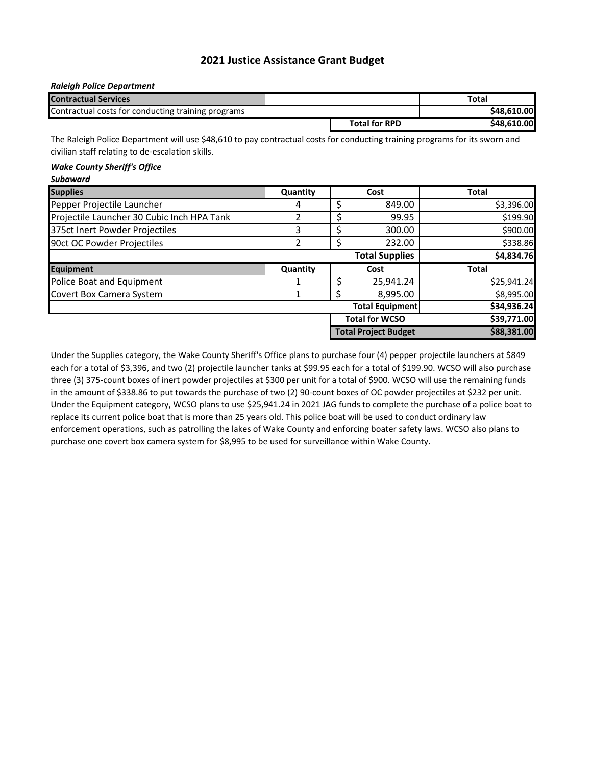### **2021 Justice Assistance Grant Budget**

#### *Raleigh Police Department*

| <b>Contractual Services</b>                        |                      | Total       |
|----------------------------------------------------|----------------------|-------------|
| Contractual costs for conducting training programs |                      | \$48,610,00 |
|                                                    | <b>Total for RPD</b> | \$48,610.00 |

The Raleigh Police Department will use \$48,610 to pay contractual costs for conducting training programs for its sworn and civilian staff relating to de‐escalation skills.

#### *Wake County Sheriff's Office*

| <b>Subaward</b>                            |          |    |                             |              |
|--------------------------------------------|----------|----|-----------------------------|--------------|
| <b>Supplies</b><br>Quantity                |          |    | Cost                        | Total        |
| Pepper Projectile Launcher                 | 4        | Ş  | 849.00                      | \$3,396.00   |
| Projectile Launcher 30 Cubic Inch HPA Tank | 2        | \$ | 99.95                       | \$199.90     |
| 375ct Inert Powder Projectiles             | 3        | ς  | 300.00                      | \$900.00     |
| 90ct OC Powder Projectiles                 | 2        | \$ | 232.00                      | \$338.86     |
|                                            |          |    | <b>Total Supplies</b>       | \$4,834.76   |
| Equipment                                  | Quantity |    | Cost                        | <b>Total</b> |
| Police Boat and Equipment                  | 1        | S  | 25,941.24                   | \$25,941.24  |
| Covert Box Camera System                   |          |    | 8,995.00                    | \$8,995.00   |
|                                            |          |    | <b>Total Equipment</b>      | \$34,936.24  |
|                                            |          |    | <b>Total for WCSO</b>       | \$39,771.00  |
|                                            |          |    | <b>Total Project Budget</b> | \$88,381.00  |

Under the Supplies category, the Wake County Sheriff's Office plans to purchase four (4) pepper projectile launchers at \$849 each for a total of \$3,396, and two (2) projectile launcher tanks at \$99.95 each for a total of \$199.90. WCSO will also purchase three (3) 375‐count boxes of inert powder projectiles at \$300 per unit for a total of \$900. WCSO will use the remaining funds in the amount of \$338.86 to put towards the purchase of two (2) 90‐count boxes of OC powder projectiles at \$232 per unit. Under the Equipment category, WCSO plans to use \$25,941.24 in 2021 JAG funds to complete the purchase of a police boat to replace its current police boat that is more than 25 years old. This police boat will be used to conduct ordinary law enforcement operations, such as patrolling the lakes of Wake County and enforcing boater safety laws. WCSO also plans to purchase one covert box camera system for \$8,995 to be used for surveillance within Wake County.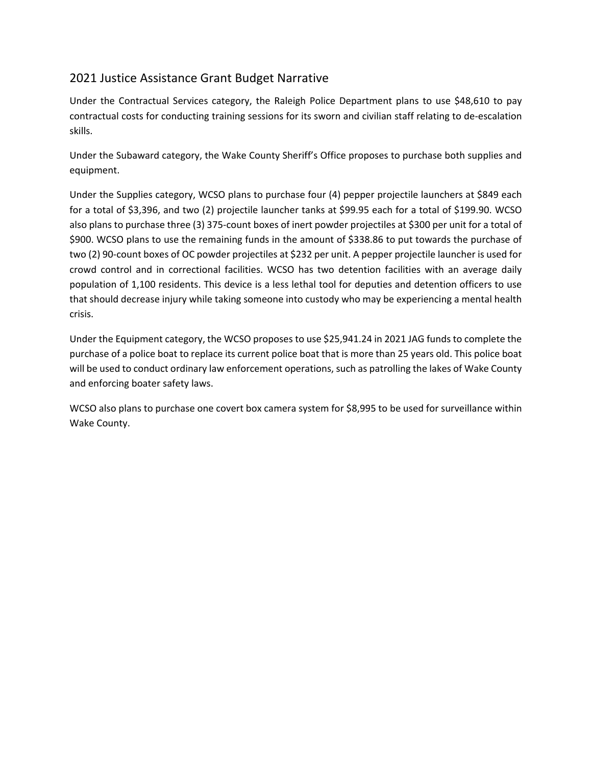# 2021 Justice Assistance Grant Budget Narrative

Under the Contractual Services category, the Raleigh Police Department plans to use \$48,610 to pay contractual costs for conducting training sessions for its sworn and civilian staff relating to de‐escalation skills.

Under the Subaward category, the Wake County Sheriff's Office proposes to purchase both supplies and equipment.

Under the Supplies category, WCSO plans to purchase four (4) pepper projectile launchers at \$849 each for a total of \$3,396, and two (2) projectile launcher tanks at \$99.95 each for a total of \$199.90. WCSO also plans to purchase three (3) 375‐count boxes of inert powder projectiles at \$300 per unit for a total of \$900. WCSO plans to use the remaining funds in the amount of \$338.86 to put towards the purchase of two (2) 90‐count boxes of OC powder projectiles at \$232 per unit. A pepper projectile launcher is used for crowd control and in correctional facilities. WCSO has two detention facilities with an average daily population of 1,100 residents. This device is a less lethal tool for deputies and detention officers to use that should decrease injury while taking someone into custody who may be experiencing a mental health crisis.

Under the Equipment category, the WCSO proposes to use \$25,941.24 in 2021 JAG funds to complete the purchase of a police boat to replace its current police boat that is more than 25 years old. This police boat will be used to conduct ordinary law enforcement operations, such as patrolling the lakes of Wake County and enforcing boater safety laws.

WCSO also plans to purchase one covert box camera system for \$8,995 to be used for surveillance within Wake County.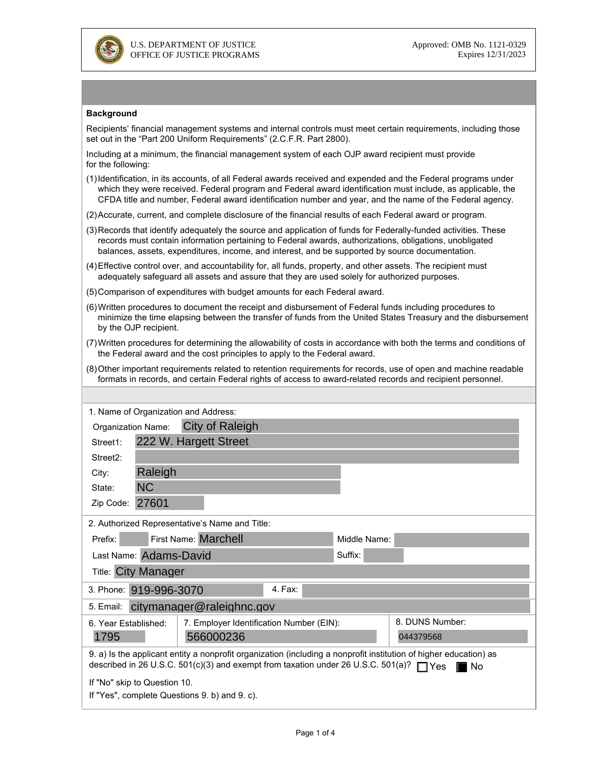

#### **Background**

Recipients' financial management systems and internal controls must meet certain requirements, including those set out in the "Part 200 Uniform Requirements" (2.C.F.R. Part 2800).

Including at a minimum, the financial management system of each OJP award recipient must provide for the following:

- (1) Identification, in its accounts, of all Federal awards received and expended and the Federal programs under<br>which they were received. Federal program and Federal award identification must include, as applicable, the<br>CF
- (2)Accurate, current, and complete disclosure of the financial results of each Federal award or program.
- (3)Records that identify adequately the source and application of funds for Federally-funded activities. These records must contain information pertaining to Federal awards, authorizations, obligations, unobligated balances, assets, expenditures, income, and interest, and be supported by source documentation.
- (4)Effective control over, and accountability for, all funds, property, and other assets. The recipient must adequately safeguard all assets and assure that they are used solely for authorized purposes.
- (5)Comparison of expenditures with budget amounts for each Federal award.
- (6)Written procedures to document the receipt and disbursement of Federal funds including procedures to minimize the time elapsing between the transfer of funds from the United States Treasury and the disbursement by the OJP recipient.
- (7)Written procedures for determining the allowability of costs in accordance with both the terms and conditions of the Federal award and the cost principles to apply to the Federal award.
- (8)Other important requirements related to retention requirements for records, use of open and machine readable formats in records, and certain Federal rights of access to award-related records and recipient personnel.

| 1. Name of Organization and Address:                                                                                                                                                                                  |                                                                  |                                                |         |              |                 |  |  |  |
|-----------------------------------------------------------------------------------------------------------------------------------------------------------------------------------------------------------------------|------------------------------------------------------------------|------------------------------------------------|---------|--------------|-----------------|--|--|--|
| City of Raleigh<br>Organization Name:                                                                                                                                                                                 |                                                                  |                                                |         |              |                 |  |  |  |
| Street1:                                                                                                                                                                                                              | 222 W. Hargett Street                                            |                                                |         |              |                 |  |  |  |
| Street <sub>2</sub> :                                                                                                                                                                                                 |                                                                  |                                                |         |              |                 |  |  |  |
| City:                                                                                                                                                                                                                 | Raleigh                                                          |                                                |         |              |                 |  |  |  |
| State:                                                                                                                                                                                                                | <b>NC</b>                                                        |                                                |         |              |                 |  |  |  |
| Zip Code:                                                                                                                                                                                                             | 27601                                                            |                                                |         |              |                 |  |  |  |
|                                                                                                                                                                                                                       |                                                                  | 2. Authorized Representative's Name and Title: |         |              |                 |  |  |  |
| Prefix:                                                                                                                                                                                                               | First Name: Marchell                                             |                                                |         | Middle Name: |                 |  |  |  |
| Last Name: Adams-David                                                                                                                                                                                                |                                                                  |                                                | Suffix: |              |                 |  |  |  |
| <b>Title: City Manager</b>                                                                                                                                                                                            |                                                                  |                                                |         |              |                 |  |  |  |
| 4. Fax:<br>3. Phone: 919-996-3070                                                                                                                                                                                     |                                                                  |                                                |         |              |                 |  |  |  |
| citymanager@raleighnc.gov<br>5. Email:                                                                                                                                                                                |                                                                  |                                                |         |              |                 |  |  |  |
|                                                                                                                                                                                                                       | 7. Employer Identification Number (EIN):<br>6. Year Established: |                                                |         |              | 8. DUNS Number: |  |  |  |
| 1795                                                                                                                                                                                                                  | 566000236                                                        |                                                |         |              | 044379568       |  |  |  |
| 9. a) Is the applicant entity a nonprofit organization (including a nonprofit institution of higher education) as<br>described in 26 U.S.C. 501(c)(3) and exempt from taxation under 26 U.S.C. 501(a)? ■ Yes<br>ll No |                                                                  |                                                |         |              |                 |  |  |  |
| If "No" skip to Question 10.                                                                                                                                                                                          |                                                                  |                                                |         |              |                 |  |  |  |
| If "Yes", complete Questions 9. b) and 9. c).                                                                                                                                                                         |                                                                  |                                                |         |              |                 |  |  |  |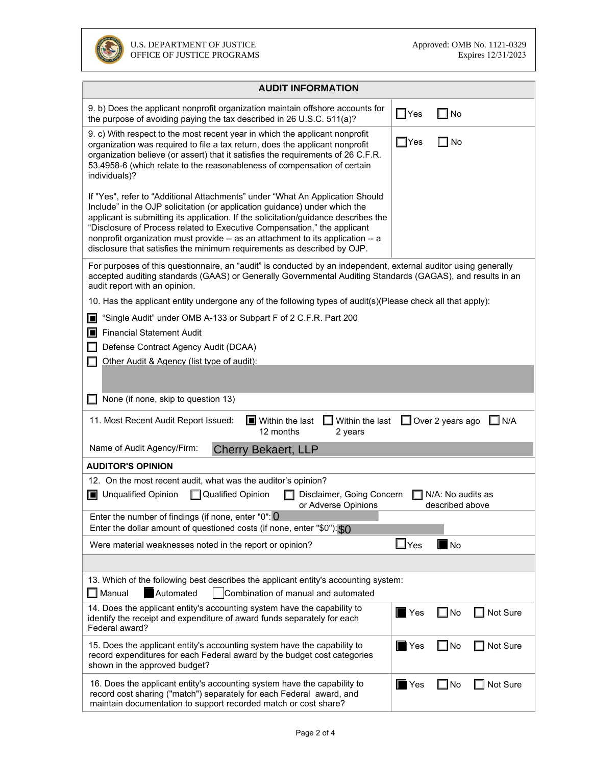

| <b>AUDIT INFORMATION</b>                                                                                                                                                                                                                                                                                                                                                                                                                                                                     |                    |                          |  |  |  |  |
|----------------------------------------------------------------------------------------------------------------------------------------------------------------------------------------------------------------------------------------------------------------------------------------------------------------------------------------------------------------------------------------------------------------------------------------------------------------------------------------------|--------------------|--------------------------|--|--|--|--|
| 9. b) Does the applicant nonprofit organization maintain offshore accounts for<br>the purpose of avoiding paying the tax described in 26 U.S.C. 511(a)?                                                                                                                                                                                                                                                                                                                                      | $\Box$ Yes         | No                       |  |  |  |  |
| 9. c) With respect to the most recent year in which the applicant nonprofit<br>organization was required to file a tax return, does the applicant nonprofit<br>organization believe (or assert) that it satisfies the requirements of 26 C.F.R.<br>53.4958-6 (which relate to the reasonableness of compensation of certain<br>individuals)?                                                                                                                                                 | $\Box$ Yes         | No                       |  |  |  |  |
| If "Yes", refer to "Additional Attachments" under "What An Application Should<br>Include" in the OJP solicitation (or application guidance) under which the<br>applicant is submitting its application. If the solicitation/guidance describes the<br>"Disclosure of Process related to Executive Compensation," the applicant<br>nonprofit organization must provide -- as an attachment to its application -- a<br>disclosure that satisfies the minimum requirements as described by OJP. |                    |                          |  |  |  |  |
| For purposes of this questionnaire, an "audit" is conducted by an independent, external auditor using generally<br>accepted auditing standards (GAAS) or Generally Governmental Auditing Standards (GAGAS), and results in an<br>audit report with an opinion.                                                                                                                                                                                                                               |                    |                          |  |  |  |  |
| 10. Has the applicant entity undergone any of the following types of audit(s)(Please check all that apply):                                                                                                                                                                                                                                                                                                                                                                                  |                    |                          |  |  |  |  |
| "Single Audit" under OMB A-133 or Subpart F of 2 C.F.R. Part 200<br>Ш                                                                                                                                                                                                                                                                                                                                                                                                                        |                    |                          |  |  |  |  |
| <b>Financial Statement Audit</b><br>o                                                                                                                                                                                                                                                                                                                                                                                                                                                        |                    |                          |  |  |  |  |
| Defense Contract Agency Audit (DCAA)                                                                                                                                                                                                                                                                                                                                                                                                                                                         |                    |                          |  |  |  |  |
| Other Audit & Agency (list type of audit):                                                                                                                                                                                                                                                                                                                                                                                                                                                   |                    |                          |  |  |  |  |
| None (if none, skip to question 13)                                                                                                                                                                                                                                                                                                                                                                                                                                                          |                    |                          |  |  |  |  |
| 11. Most Recent Audit Report Issued:<br>$\blacksquare$ Within the last<br>Within the last<br>$\Box$ Over 2 years ago<br>$\Box$ N/A<br>12 months<br>2 years                                                                                                                                                                                                                                                                                                                                   |                    |                          |  |  |  |  |
| Name of Audit Agency/Firm:<br><b>Cherry Bekaert, LLP</b>                                                                                                                                                                                                                                                                                                                                                                                                                                     |                    |                          |  |  |  |  |
| <b>AUDITOR'S OPINION</b>                                                                                                                                                                                                                                                                                                                                                                                                                                                                     |                    |                          |  |  |  |  |
| 12. On the most recent audit, what was the auditor's opinion?<br>Qualified Opinion<br><b>Julge</b> Unqualified Opinion<br>Disclaimer, Going Concern<br>N/A: No audits as<br>or Adverse Opinions<br>described above                                                                                                                                                                                                                                                                           |                    |                          |  |  |  |  |
| Enter the number of findings (if none, enter "0": 0                                                                                                                                                                                                                                                                                                                                                                                                                                          |                    |                          |  |  |  |  |
| Enter the dollar amount of questioned costs (if none, enter "\$0"): \$0                                                                                                                                                                                                                                                                                                                                                                                                                      |                    |                          |  |  |  |  |
| Were material weaknesses noted in the report or opinion?                                                                                                                                                                                                                                                                                                                                                                                                                                     | $\Box$ Yes         | $\blacksquare$ No        |  |  |  |  |
|                                                                                                                                                                                                                                                                                                                                                                                                                                                                                              |                    |                          |  |  |  |  |
| 13. Which of the following best describes the applicant entity's accounting system:<br>$\Box$ Manual<br>Automated<br>Combination of manual and automated                                                                                                                                                                                                                                                                                                                                     |                    |                          |  |  |  |  |
| 14. Does the applicant entity's accounting system have the capability to<br>identify the receipt and expenditure of award funds separately for each<br>Federal award?                                                                                                                                                                                                                                                                                                                        | $\blacksquare$ Yes | $\square$ No<br>Not Sure |  |  |  |  |
| 15. Does the applicant entity's accounting system have the capability to<br>record expenditures for each Federal award by the budget cost categories<br>shown in the approved budget?                                                                                                                                                                                                                                                                                                        | $\blacksquare$ Yes | $\square$ No<br>Not Sure |  |  |  |  |
| 16. Does the applicant entity's accounting system have the capability to<br>record cost sharing ("match") separately for each Federal award, and<br>maintain documentation to support recorded match or cost share?                                                                                                                                                                                                                                                                          | $\blacksquare$ Yes | $\square$ No<br>Not Sure |  |  |  |  |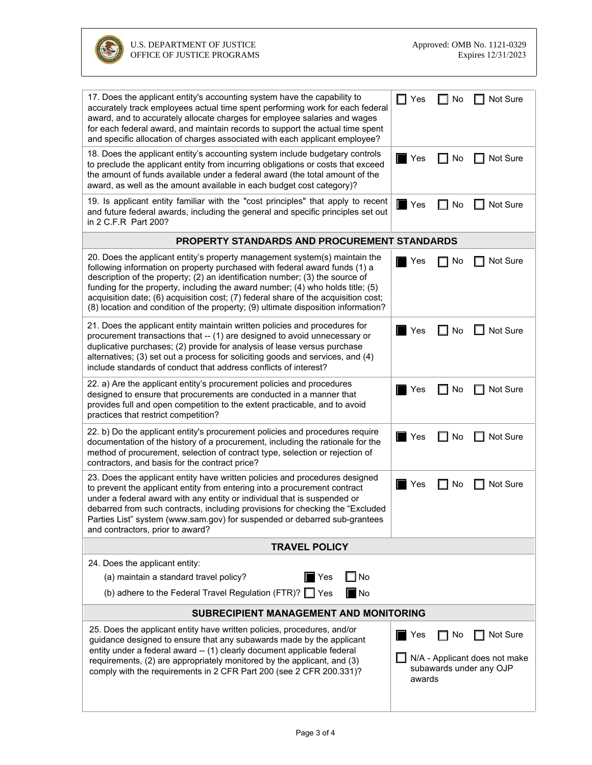

| 17. Does the applicant entity's accounting system have the capability to<br>accurately track employees actual time spent performing work for each federal<br>award, and to accurately allocate charges for employee salaries and wages<br>for each federal award, and maintain records to support the actual time spent<br>and specific allocation of charges associated with each applicant employee?                                                                                                | $\Box$ Yes<br>Not Sure<br>No                                                                |  |  |  |  |
|-------------------------------------------------------------------------------------------------------------------------------------------------------------------------------------------------------------------------------------------------------------------------------------------------------------------------------------------------------------------------------------------------------------------------------------------------------------------------------------------------------|---------------------------------------------------------------------------------------------|--|--|--|--|
| 18. Does the applicant entity's accounting system include budgetary controls<br>to preclude the applicant entity from incurring obligations or costs that exceed<br>the amount of funds available under a federal award (the total amount of the<br>award, as well as the amount available in each budget cost category)?                                                                                                                                                                             | Not Sure<br>No<br>Yes                                                                       |  |  |  |  |
| 19. Is applicant entity familiar with the "cost principles" that apply to recent<br>and future federal awards, including the general and specific principles set out<br>in 2 C.F.R Part 200?                                                                                                                                                                                                                                                                                                          | $\blacksquare$ Yes<br>Not Sure<br>No                                                        |  |  |  |  |
| PROPERTY STANDARDS AND PROCUREMENT STANDARDS                                                                                                                                                                                                                                                                                                                                                                                                                                                          |                                                                                             |  |  |  |  |
| 20. Does the applicant entity's property management system(s) maintain the<br>following information on property purchased with federal award funds (1) a<br>description of the property; (2) an identification number; (3) the source of<br>funding for the property, including the award number; (4) who holds title; (5)<br>acquisition date; (6) acquisition cost; (7) federal share of the acquisition cost;<br>(8) location and condition of the property; (9) ultimate disposition information? | Not Sure<br>No<br>Yes                                                                       |  |  |  |  |
| 21. Does the applicant entity maintain written policies and procedures for<br>procurement transactions that -- (1) are designed to avoid unnecessary or<br>duplicative purchases; (2) provide for analysis of lease versus purchase<br>alternatives; (3) set out a process for soliciting goods and services, and (4)<br>include standards of conduct that address conflicts of interest?                                                                                                             | Not Sure<br>Yes<br>No<br>- 1                                                                |  |  |  |  |
| 22. a) Are the applicant entity's procurement policies and procedures<br>designed to ensure that procurements are conducted in a manner that<br>provides full and open competition to the extent practicable, and to avoid<br>practices that restrict competition?                                                                                                                                                                                                                                    | Not Sure<br>No<br>Yes                                                                       |  |  |  |  |
| 22. b) Do the applicant entity's procurement policies and procedures require<br>documentation of the history of a procurement, including the rationale for the<br>method of procurement, selection of contract type, selection or rejection of<br>contractors, and basis for the contract price?                                                                                                                                                                                                      | No<br>Not Sure<br>Yes                                                                       |  |  |  |  |
| 23. Does the applicant entity have written policies and procedures designed<br>to prevent the applicant entity from entering into a procurement contract<br>under a federal award with any entity or individual that is suspended or<br>debarred from such contracts, including provisions for checking the "Excluded<br>Parties List" system (www.sam.gov) for suspended or debarred sub-grantees<br>and contractors, prior to award?                                                                | Not Sure<br>Yes<br>No                                                                       |  |  |  |  |
| <b>TRAVEL POLICY</b>                                                                                                                                                                                                                                                                                                                                                                                                                                                                                  |                                                                                             |  |  |  |  |
| 24. Does the applicant entity:                                                                                                                                                                                                                                                                                                                                                                                                                                                                        |                                                                                             |  |  |  |  |
| ] No<br>$\blacksquare$ Yes<br>(a) maintain a standard travel policy?                                                                                                                                                                                                                                                                                                                                                                                                                                  |                                                                                             |  |  |  |  |
| (b) adhere to the Federal Travel Regulation (FTR)? $\Box$ Yes<br>∎No                                                                                                                                                                                                                                                                                                                                                                                                                                  |                                                                                             |  |  |  |  |
| <b>SUBRECIPIENT MANAGEMENT AND MONITORING</b>                                                                                                                                                                                                                                                                                                                                                                                                                                                         |                                                                                             |  |  |  |  |
| 25. Does the applicant entity have written policies, procedures, and/or<br>guidance designed to ensure that any subawards made by the applicant<br>entity under a federal award -- (1) clearly document applicable federal<br>requirements, (2) are appropriately monitored by the applicant, and (3)<br>comply with the requirements in 2 CFR Part 200 (see 2 CFR 200.331)?                                                                                                                          | Not Sure<br>Yes<br>No<br>N/A - Applicant does not make<br>subawards under any OJP<br>awards |  |  |  |  |